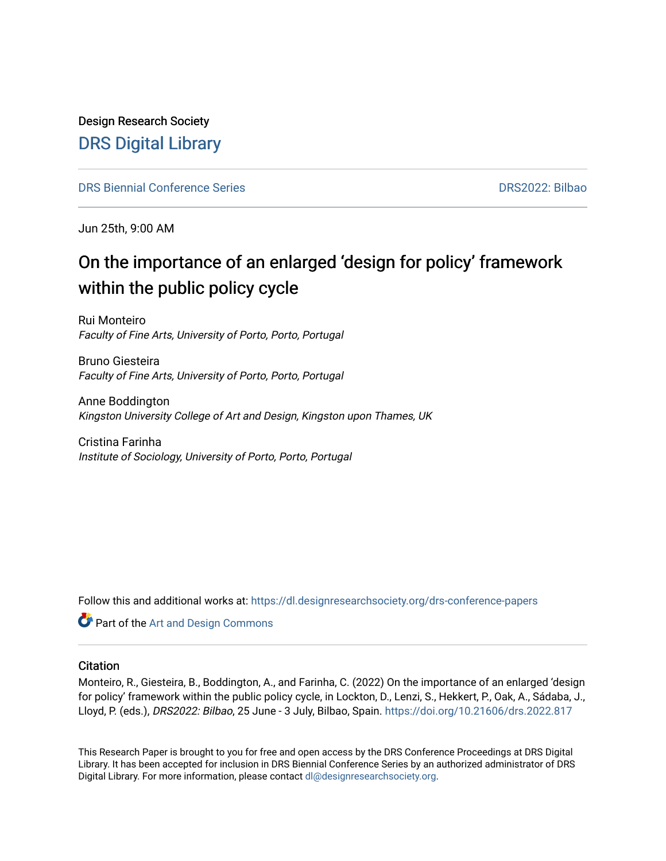Design Research Society [DRS Digital Library](https://dl.designresearchsociety.org/)

[DRS Biennial Conference Series](https://dl.designresearchsociety.org/drs-conference-papers) [DRS2022: Bilbao](https://dl.designresearchsociety.org/drs-conference-papers/drs2022) 

Jun 25th, 9:00 AM

## On the importance of an enlarged 'design for policy' framework within the public policy cycle

Rui Monteiro Faculty of Fine Arts, University of Porto, Porto, Portugal

Bruno Giesteira Faculty of Fine Arts, University of Porto, Porto, Portugal

Anne Boddington Kingston University College of Art and Design, Kingston upon Thames, UK

Cristina Farinha Institute of Sociology, University of Porto, Porto, Portugal

Follow this and additional works at: [https://dl.designresearchsociety.org/drs-conference-papers](https://dl.designresearchsociety.org/drs-conference-papers?utm_source=dl.designresearchsociety.org%2Fdrs-conference-papers%2Fdrs2022%2Fresearchpapers%2F313&utm_medium=PDF&utm_campaign=PDFCoverPages) 

**Part of the [Art and Design Commons](https://network.bepress.com/hgg/discipline/1049?utm_source=dl.designresearchsociety.org%2Fdrs-conference-papers%2Fdrs2022%2Fresearchpapers%2F313&utm_medium=PDF&utm_campaign=PDFCoverPages)** 

#### **Citation**

Monteiro, R., Giesteira, B., Boddington, A., and Farinha, C. (2022) On the importance of an enlarged 'design for policy' framework within the public policy cycle, in Lockton, D., Lenzi, S., Hekkert, P., Oak, A., Sádaba, J., Lloyd, P. (eds.), DRS2022: Bilbao, 25 June - 3 July, Bilbao, Spain.<https://doi.org/10.21606/drs.2022.817>

This Research Paper is brought to you for free and open access by the DRS Conference Proceedings at DRS Digital Library. It has been accepted for inclusion in DRS Biennial Conference Series by an authorized administrator of DRS Digital Library. For more information, please contact [dl@designresearchsociety.org](mailto:dl@designresearchsociety.org).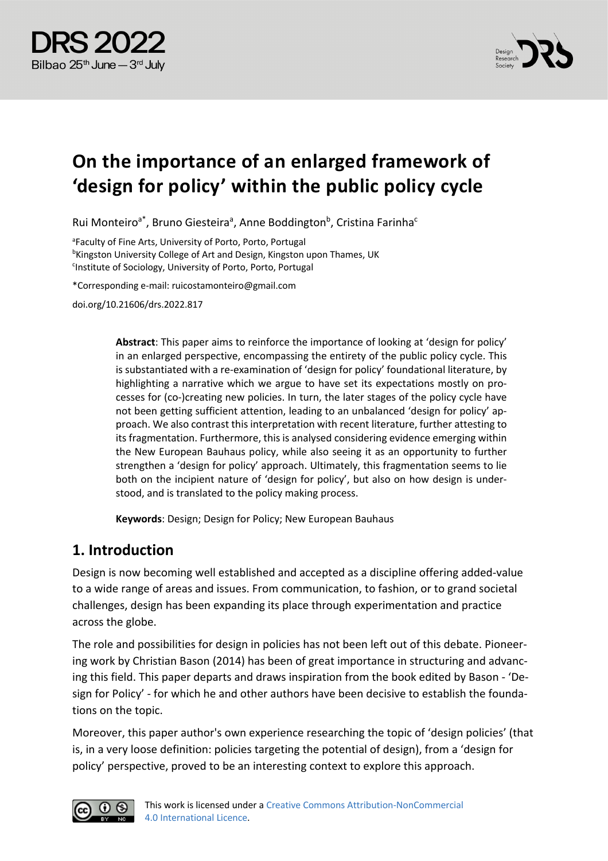



# **On the importance of an enlarged framework of 'design for policy' within the public policy cycle**

Rui Monteiro<sup>a\*</sup>, Bruno Giesteira<sup>a</sup>, Anne Boddington<sup>b</sup>, Cristina Farinha<sup>c</sup>

<sup>a</sup>Faculty of Fine Arts, University of Porto, Porto, Portugal **<sup>b</sup>Kingston University College of Art and Design, Kingston upon Thames, UK** <sup>c</sup>Institute of Sociology, University of Porto, Porto, Portugal

\*Corresponding e-mail: ruicostamonteiro@gmail.com

doi.org/10.21606/drs.2022.817

**Abstract**: This paper aims to reinforce the importance of looking at 'design for policy' in an enlarged perspective, encompassing the entirety of the public policy cycle. This is substantiated with a re-examination of 'design for policy' foundational literature, by highlighting a narrative which we argue to have set its expectations mostly on processes for (co-)creating new policies. In turn, the later stages of the policy cycle have not been getting sufficient attention, leading to an unbalanced 'design for policy' approach. We also contrast this interpretation with recent literature, further attesting to its fragmentation. Furthermore, this is analysed considering evidence emerging within the New European Bauhaus policy, while also seeing it as an opportunity to further strengthen a 'design for policy' approach. Ultimately, this fragmentation seems to lie both on the incipient nature of 'design for policy', but also on how design is understood, and is translated to the policy making process.

**Keywords**: Design; Design for Policy; New European Bauhaus

#### **1. Introduction**

Design is now becoming well established and accepted as a discipline offering added-value to a wide range of areas and issues. From communication, to fashion, or to grand societal challenges, design has been expanding its place through experimentation and practice across the globe.

The role and possibilities for design in policies has not been left out of this debate. Pioneering work by Christian Bason (2014) has been of great importance in structuring and advancing this field. This paper departs and draws inspiration from the book edited by Bason - 'Design for Policy' - for which he and other authors have been decisive to establish the foundations on the topic.

Moreover, this paper author's own experience researching the topic of 'design policies' (that is, in a very loose definition: policies targeting the potential of design), from a 'design for policy' perspective, proved to be an interesting context to explore this approach.

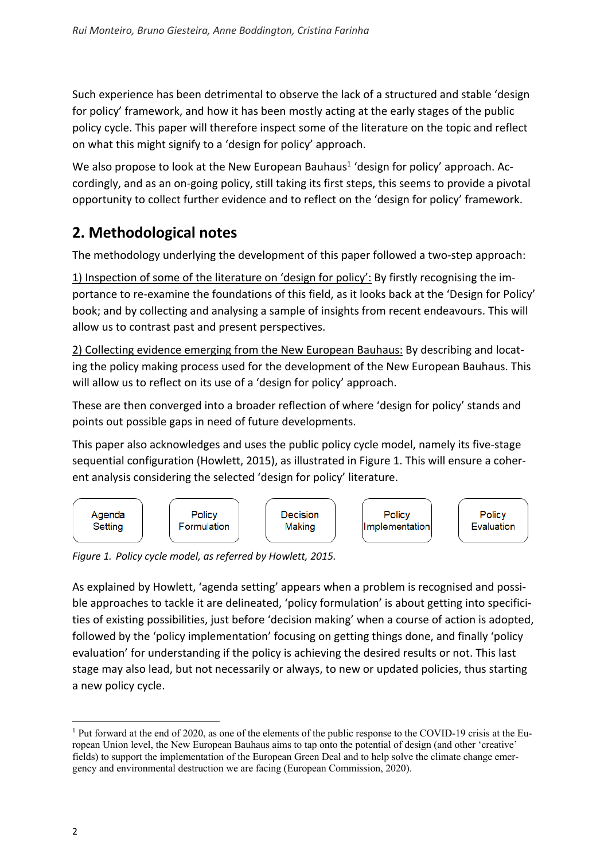Such experience has been detrimental to observe the lack of a structured and stable 'design for policy' framework, and how it has been mostly acting at the early stages of the public policy cycle. This paper will therefore inspect some of the literature on the topic and reflect on what this might signify to a 'design for policy' approach.

We also propose to look at the New European Bauhaus<sup>1</sup> 'design for policy' approach. Accordingly, and as an on-going policy, still taking its first steps, this seems to provide a pivotal opportunity to collect further evidence and to reflect on the 'design for policy' framework.

## **2. Methodological notes**

The methodology underlying the development of this paper followed a two-step approach:

1) Inspection of some of the literature on 'design for policy': By firstly recognising the importance to re-examine the foundations of this field, as it looks back at the 'Design for Policy' book; and by collecting and analysing a sample of insights from recent endeavours. This will allow us to contrast past and present perspectives.

2) Collecting evidence emerging from the New European Bauhaus: By describing and locating the policy making process used for the development of the New European Bauhaus. This will allow us to reflect on its use of a 'design for policy' approach.

These are then converged into a broader reflection of where 'design for policy' stands and points out possible gaps in need of future developments.

This paper also acknowledges and uses the public policy cycle model, namely its five-stage sequential configuration (Howlett, 2015), as illustrated in Figure 1. This will ensure a coherent analysis considering the selected 'design for policy' literature.



*Figure 1. Policy cycle model, as referred by Howlett, 2015.*

As explained by Howlett, 'agenda setting' appears when a problem is recognised and possible approaches to tackle it are delineated, 'policy formulation' is about getting into specificities of existing possibilities, just before 'decision making' when a course of action is adopted, followed by the 'policy implementation' focusing on getting things done, and finally 'policy evaluation' for understanding if the policy is achieving the desired results or not. This last stage may also lead, but not necessarily or always, to new or updated policies, thus starting a new policy cycle.

<sup>&</sup>lt;sup>1</sup> Put forward at the end of 2020, as one of the elements of the public response to the COVID-19 crisis at the European Union level, the New European Bauhaus aims to tap onto the potential of design (and other 'creative' fields) to support the implementation of the European Green Deal and to help solve the climate change emergency and environmental destruction we are facing (European Commission, 2020).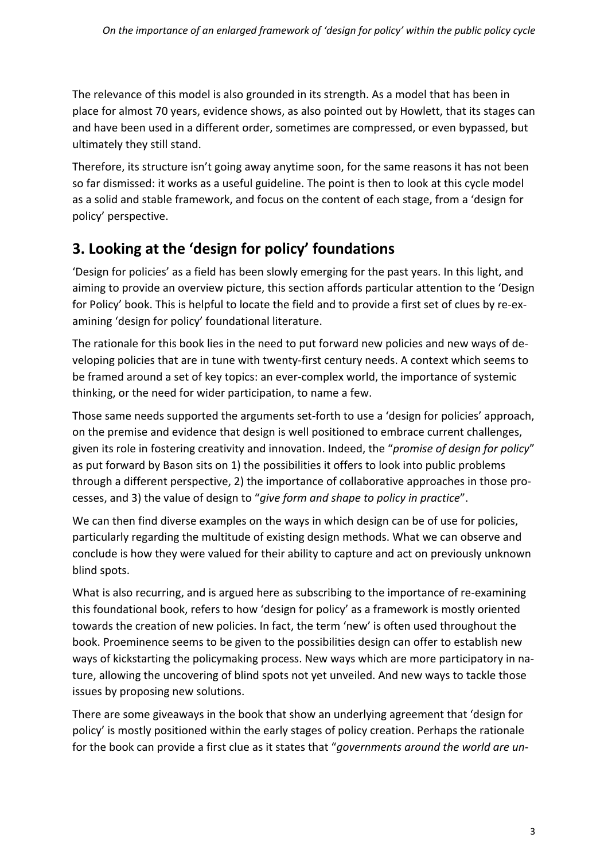The relevance of this model is also grounded in its strength. As a model that has been in place for almost 70 years, evidence shows, as also pointed out by Howlett, that its stages can and have been used in a different order, sometimes are compressed, or even bypassed, but ultimately they still stand.

Therefore, its structure isn't going away anytime soon, for the same reasons it has not been so far dismissed: it works as a useful guideline. The point is then to look at this cycle model as a solid and stable framework, and focus on the content of each stage, from a 'design for policy' perspective.

## **3. Looking at the 'design for policy' foundations**

'Design for policies' as a field has been slowly emerging for the past years. In this light, and aiming to provide an overview picture, this section affords particular attention to the 'Design for Policy' book. This is helpful to locate the field and to provide a first set of clues by re-examining 'design for policy' foundational literature.

The rationale for this book lies in the need to put forward new policies and new ways of developing policies that are in tune with twenty-first century needs. A context which seems to be framed around a set of key topics: an ever-complex world, the importance of systemic thinking, or the need for wider participation, to name a few.

Those same needs supported the arguments set-forth to use a 'design for policies' approach, on the premise and evidence that design is well positioned to embrace current challenges, given its role in fostering creativity and innovation. Indeed, the "*promise of design for policy*" as put forward by Bason sits on 1) the possibilities it offers to look into public problems through a different perspective, 2) the importance of collaborative approaches in those processes, and 3) the value of design to "*give form and shape to policy in practice*".

We can then find diverse examples on the ways in which design can be of use for policies, particularly regarding the multitude of existing design methods. What we can observe and conclude is how they were valued for their ability to capture and act on previously unknown blind spots.

What is also recurring, and is argued here as subscribing to the importance of re-examining this foundational book, refers to how 'design for policy' as a framework is mostly oriented towards the creation of new policies. In fact, the term 'new' is often used throughout the book. Proeminence seems to be given to the possibilities design can offer to establish new ways of kickstarting the policymaking process. New ways which are more participatory in nature, allowing the uncovering of blind spots not yet unveiled. And new ways to tackle those issues by proposing new solutions.

There are some giveaways in the book that show an underlying agreement that 'design for policy' is mostly positioned within the early stages of policy creation. Perhaps the rationale for the book can provide a first clue as it states that "*governments around the world are un-*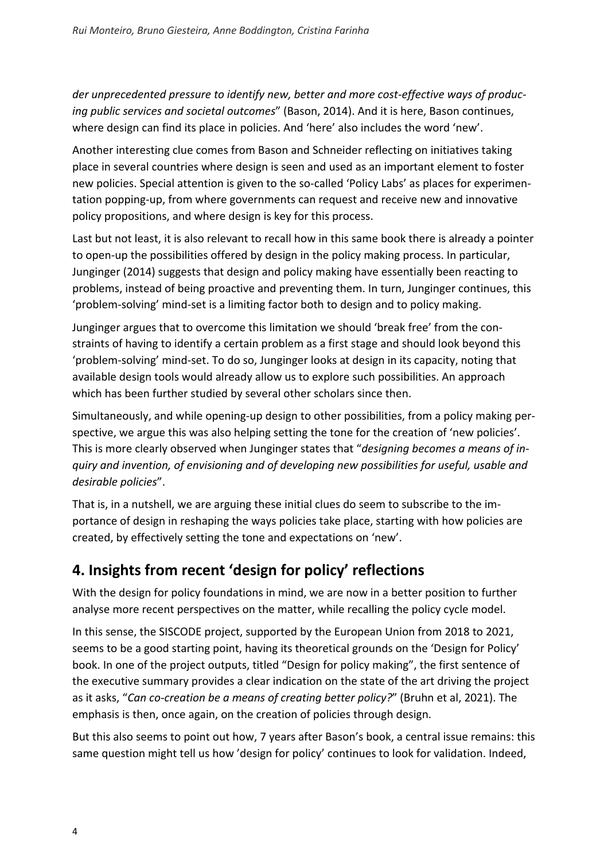*der unprecedented pressure to identify new, better and more cost-effective ways of producing public services and societal outcomes*" (Bason, 2014). And it is here, Bason continues, where design can find its place in policies. And 'here' also includes the word 'new'.

Another interesting clue comes from Bason and Schneider reflecting on initiatives taking place in several countries where design is seen and used as an important element to foster new policies. Special attention is given to the so-called 'Policy Labs' as places for experimentation popping-up, from where governments can request and receive new and innovative policy propositions, and where design is key for this process.

Last but not least, it is also relevant to recall how in this same book there is already a pointer to open-up the possibilities offered by design in the policy making process. In particular, Junginger (2014) suggests that design and policy making have essentially been reacting to problems, instead of being proactive and preventing them. In turn, Junginger continues, this 'problem-solving' mind-set is a limiting factor both to design and to policy making.

Junginger argues that to overcome this limitation we should 'break free' from the constraints of having to identify a certain problem as a first stage and should look beyond this 'problem-solving' mind-set. To do so, Junginger looks at design in its capacity, noting that available design tools would already allow us to explore such possibilities. An approach which has been further studied by several other scholars since then.

Simultaneously, and while opening-up design to other possibilities, from a policy making perspective, we argue this was also helping setting the tone for the creation of 'new policies'. This is more clearly observed when Junginger states that "*designing becomes a means of inquiry and invention, of envisioning and of developing new possibilities for useful, usable and desirable policies*".

That is, in a nutshell, we are arguing these initial clues do seem to subscribe to the importance of design in reshaping the ways policies take place, starting with how policies are created, by effectively setting the tone and expectations on 'new'.

#### **4. Insights from recent 'design for policy' reflections**

With the design for policy foundations in mind, we are now in a better position to further analyse more recent perspectives on the matter, while recalling the policy cycle model.

In this sense, the SISCODE project, supported by the European Union from 2018 to 2021, seems to be a good starting point, having its theoretical grounds on the 'Design for Policy' book. In one of the project outputs, titled "Design for policy making", the first sentence of the executive summary provides a clear indication on the state of the art driving the project as it asks, "*Can co-creation be a means of creating better policy?*" (Bruhn et al, 2021). The emphasis is then, once again, on the creation of policies through design.

But this also seems to point out how, 7 years after Bason's book, a central issue remains: this same question might tell us how 'design for policy' continues to look for validation. Indeed,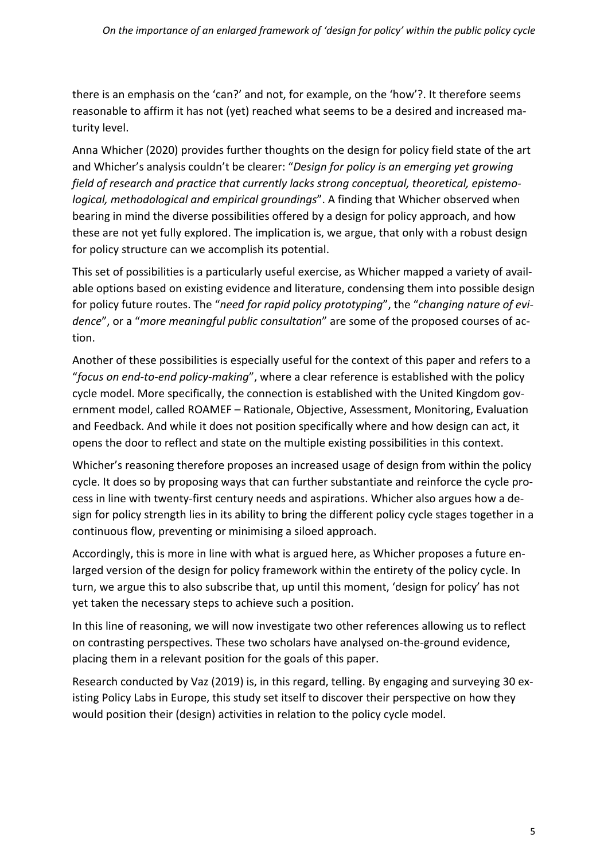there is an emphasis on the 'can?' and not, for example, on the 'how'?. It therefore seems reasonable to affirm it has not (yet) reached what seems to be a desired and increased maturity level.

Anna Whicher (2020) provides further thoughts on the design for policy field state of the art and Whicher's analysis couldn't be clearer: "*Design for policy is an emerging yet growing field of research and practice that currently lacks strong conceptual, theoretical, epistemological, methodological and empirical groundings*". A finding that Whicher observed when bearing in mind the diverse possibilities offered by a design for policy approach, and how these are not yet fully explored. The implication is, we argue, that only with a robust design for policy structure can we accomplish its potential.

This set of possibilities is a particularly useful exercise, as Whicher mapped a variety of available options based on existing evidence and literature, condensing them into possible design for policy future routes. The "*need for rapid policy prototyping*", the "*changing nature of evidence*", or a "*more meaningful public consultation*" are some of the proposed courses of action.

Another of these possibilities is especially useful for the context of this paper and refers to a "*focus on end-to-end policy-making*", where a clear reference is established with the policy cycle model. More specifically, the connection is established with the United Kingdom government model, called ROAMEF – Rationale, Objective, Assessment, Monitoring, Evaluation and Feedback. And while it does not position specifically where and how design can act, it opens the door to reflect and state on the multiple existing possibilities in this context.

Whicher's reasoning therefore proposes an increased usage of design from within the policy cycle. It does so by proposing ways that can further substantiate and reinforce the cycle process in line with twenty-first century needs and aspirations. Whicher also argues how a design for policy strength lies in its ability to bring the different policy cycle stages together in a continuous flow, preventing or minimising a siloed approach.

Accordingly, this is more in line with what is argued here, as Whicher proposes a future enlarged version of the design for policy framework within the entirety of the policy cycle. In turn, we argue this to also subscribe that, up until this moment, 'design for policy' has not yet taken the necessary steps to achieve such a position.

In this line of reasoning, we will now investigate two other references allowing us to reflect on contrasting perspectives. These two scholars have analysed on-the-ground evidence, placing them in a relevant position for the goals of this paper.

Research conducted by Vaz (2019) is, in this regard, telling. By engaging and surveying 30 existing Policy Labs in Europe, this study set itself to discover their perspective on how they would position their (design) activities in relation to the policy cycle model.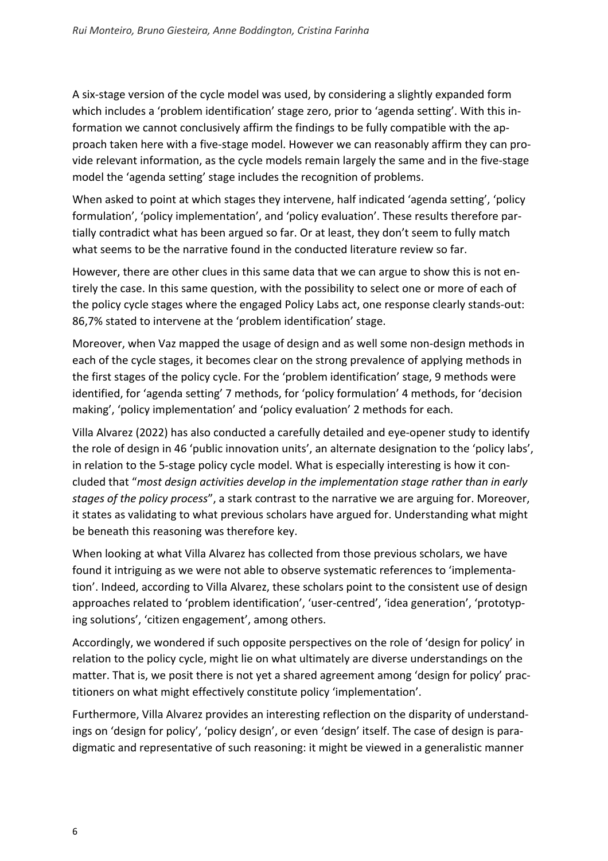A six-stage version of the cycle model was used, by considering a slightly expanded form which includes a 'problem identification' stage zero, prior to 'agenda setting'. With this information we cannot conclusively affirm the findings to be fully compatible with the approach taken here with a five-stage model. However we can reasonably affirm they can provide relevant information, as the cycle models remain largely the same and in the five-stage model the 'agenda setting' stage includes the recognition of problems.

When asked to point at which stages they intervene, half indicated 'agenda setting', 'policy formulation', 'policy implementation', and 'policy evaluation'. These results therefore partially contradict what has been argued so far. Or at least, they don't seem to fully match what seems to be the narrative found in the conducted literature review so far.

However, there are other clues in this same data that we can argue to show this is not entirely the case. In this same question, with the possibility to select one or more of each of the policy cycle stages where the engaged Policy Labs act, one response clearly stands-out: 86,7% stated to intervene at the 'problem identification' stage.

Moreover, when Vaz mapped the usage of design and as well some non-design methods in each of the cycle stages, it becomes clear on the strong prevalence of applying methods in the first stages of the policy cycle. For the 'problem identification' stage, 9 methods were identified, for 'agenda setting' 7 methods, for 'policy formulation' 4 methods, for 'decision making', 'policy implementation' and 'policy evaluation' 2 methods for each.

Villa Alvarez (2022) has also conducted a carefully detailed and eye-opener study to identify the role of design in 46 'public innovation units', an alternate designation to the 'policy labs', in relation to the 5-stage policy cycle model. What is especially interesting is how it concluded that "*most design activities develop in the implementation stage rather than in early stages of the policy process*", a stark contrast to the narrative we are arguing for. Moreover, it states as validating to what previous scholars have argued for. Understanding what might be beneath this reasoning was therefore key.

When looking at what Villa Alvarez has collected from those previous scholars, we have found it intriguing as we were not able to observe systematic references to 'implementation'. Indeed, according to Villa Alvarez, these scholars point to the consistent use of design approaches related to 'problem identification', 'user-centred', 'idea generation', 'prototyping solutions', 'citizen engagement', among others.

Accordingly, we wondered if such opposite perspectives on the role of 'design for policy' in relation to the policy cycle, might lie on what ultimately are diverse understandings on the matter. That is, we posit there is not yet a shared agreement among 'design for policy' practitioners on what might effectively constitute policy 'implementation'.

Furthermore, Villa Alvarez provides an interesting reflection on the disparity of understandings on 'design for policy', 'policy design', or even 'design' itself. The case of design is paradigmatic and representative of such reasoning: it might be viewed in a generalistic manner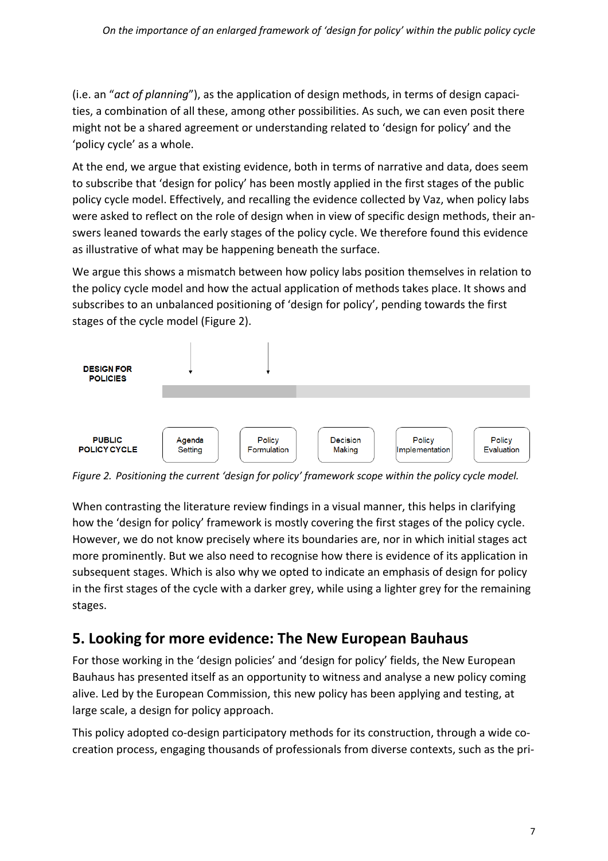(i.e. an "*act of planning*"), as the application of design methods, in terms of design capacities, a combination of all these, among other possibilities. As such, we can even posit there might not be a shared agreement or understanding related to 'design for policy' and the 'policy cycle' as a whole.

At the end, we argue that existing evidence, both in terms of narrative and data, does seem to subscribe that 'design for policy' has been mostly applied in the first stages of the public policy cycle model. Effectively, and recalling the evidence collected by Vaz, when policy labs were asked to reflect on the role of design when in view of specific design methods, their answers leaned towards the early stages of the policy cycle. We therefore found this evidence as illustrative of what may be happening beneath the surface.

We argue this shows a mismatch between how policy labs position themselves in relation to the policy cycle model and how the actual application of methods takes place. It shows and subscribes to an unbalanced positioning of 'design for policy', pending towards the first stages of the cycle model (Figure 2).



*Figure 2. Positioning the current 'design for policy' framework scope within the policy cycle model.*

When contrasting the literature review findings in a visual manner, this helps in clarifying how the 'design for policy' framework is mostly covering the first stages of the policy cycle. However, we do not know precisely where its boundaries are, nor in which initial stages act more prominently. But we also need to recognise how there is evidence of its application in subsequent stages. Which is also why we opted to indicate an emphasis of design for policy in the first stages of the cycle with a darker grey, while using a lighter grey for the remaining stages.

#### **5. Looking for more evidence: The New European Bauhaus**

For those working in the 'design policies' and 'design for policy' fields, the New European Bauhaus has presented itself as an opportunity to witness and analyse a new policy coming alive. Led by the European Commission, this new policy has been applying and testing, at large scale, a design for policy approach.

This policy adopted co-design participatory methods for its construction, through a wide cocreation process, engaging thousands of professionals from diverse contexts, such as the pri-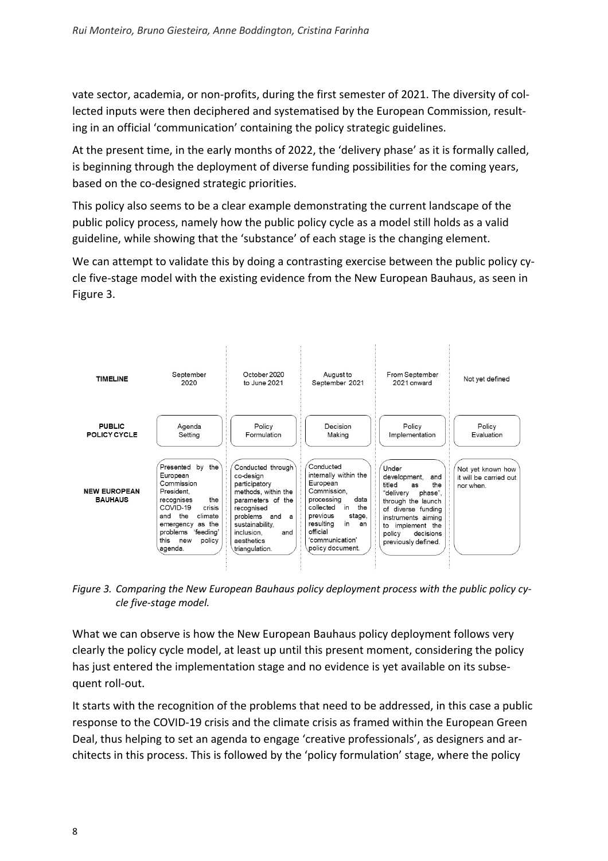vate sector, academia, or non-profits, during the first semester of 2021. The diversity of collected inputs were then deciphered and systematised by the European Commission, resulting in an official 'communication' containing the policy strategic guidelines.

At the present time, in the early months of 2022, the 'delivery phase' as it is formally called, is beginning through the deployment of diverse funding possibilities for the coming years, based on the co-designed strategic priorities.

This policy also seems to be a clear example demonstrating the current landscape of the public policy process, namely how the public policy cycle as a model still holds as a valid guideline, while showing that the 'substance' of each stage is the changing element.

We can attempt to validate this by doing a contrasting exercise between the public policy cycle five-stage model with the existing evidence from the New European Bauhaus, as seen in Figure 3.



*Figure 3. Comparing the New European Bauhaus policy deployment process with the public policy cycle five-stage model.*

What we can observe is how the New European Bauhaus policy deployment follows very clearly the policy cycle model, at least up until this present moment, considering the policy has just entered the implementation stage and no evidence is yet available on its subsequent roll-out.

It starts with the recognition of the problems that need to be addressed, in this case a public response to the COVID-19 crisis and the climate crisis as framed within the European Green Deal, thus helping to set an agenda to engage 'creative professionals', as designers and architects in this process. This is followed by the 'policy formulation' stage, where the policy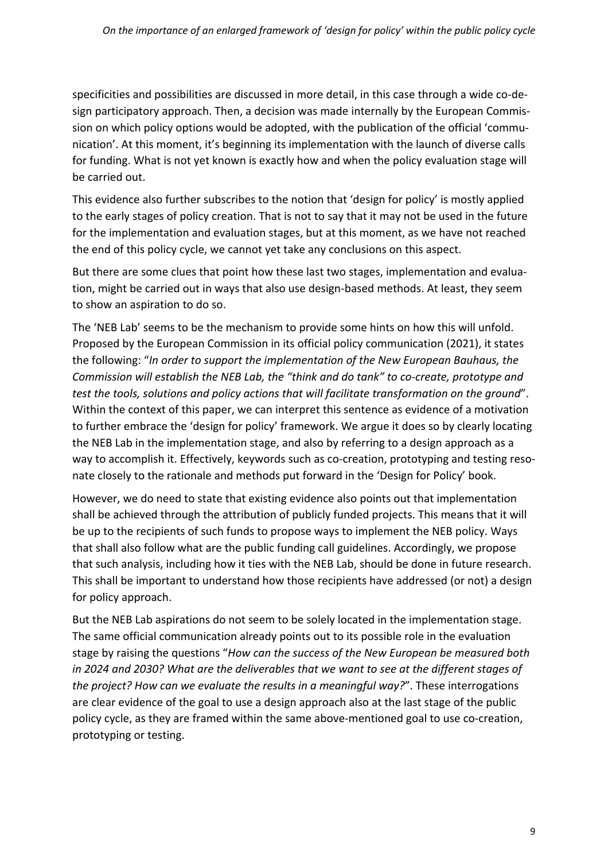specificities and possibilities are discussed in more detail, in this case through a wide co-design participatory approach. Then, a decision was made internally by the European Commission on which policy options would be adopted, with the publication of the official 'communication'. At this moment, it's beginning its implementation with the launch of diverse calls for funding. What is not yet known is exactly how and when the policy evaluation stage will be carried out.

This evidence also further subscribes to the notion that 'design for policy' is mostly applied to the early stages of policy creation. That is not to say that it may not be used in the future for the implementation and evaluation stages, but at this moment, as we have not reached the end of this policy cycle, we cannot yet take any conclusions on this aspect.

But there are some clues that point how these last two stages, implementation and evaluation, might be carried out in ways that also use design-based methods. At least, they seem to show an aspiration to do so.

The 'NEB Lab' seems to be the mechanism to provide some hints on how this will unfold. Proposed by the European Commission in its official policy communication (2021), it states the following: "*In order to support the implementation of the New European Bauhaus, the Commission will establish the NEB Lab, the "think and do tank" to co-create, prototype and test the tools, solutions and policy actions that will facilitate transformation on the ground*". Within the context of this paper, we can interpret this sentence as evidence of a motivation to further embrace the 'design for policy' framework. We argue it does so by clearly locating the NEB Lab in the implementation stage, and also by referring to a design approach as a way to accomplish it. Effectively, keywords such as co-creation, prototyping and testing resonate closely to the rationale and methods put forward in the 'Design for Policy' book.

However, we do need to state that existing evidence also points out that implementation shall be achieved through the attribution of publicly funded projects. This means that it will be up to the recipients of such funds to propose ways to implement the NEB policy. Ways that shall also follow what are the public funding call guidelines. Accordingly, we propose that such analysis, including how it ties with the NEB Lab, should be done in future research. This shall be important to understand how those recipients have addressed (or not) a design for policy approach.

But the NEB Lab aspirations do not seem to be solely located in the implementation stage. The same official communication already points out to its possible role in the evaluation stage by raising the questions "*How can the success of the New European be measured both in 2024 and 2030? What are the deliverables that we want to see at the different stages of the project? How can we evaluate the results in a meaningful way?*". These interrogations are clear evidence of the goal to use a design approach also at the last stage of the public policy cycle, as they are framed within the same above-mentioned goal to use co-creation, prototyping or testing.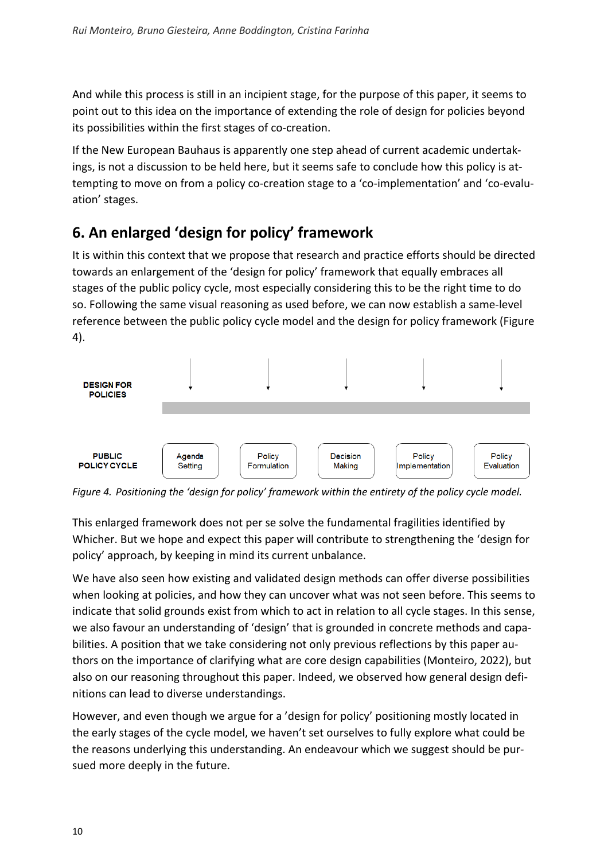And while this process is still in an incipient stage, for the purpose of this paper, it seems to point out to this idea on the importance of extending the role of design for policies beyond its possibilities within the first stages of co-creation.

If the New European Bauhaus is apparently one step ahead of current academic undertakings, is not a discussion to be held here, but it seems safe to conclude how this policy is attempting to move on from a policy co-creation stage to a 'co-implementation' and 'co-evaluation' stages.

#### **6. An enlarged 'design for policy' framework**

It is within this context that we propose that research and practice efforts should be directed towards an enlargement of the 'design for policy' framework that equally embraces all stages of the public policy cycle, most especially considering this to be the right time to do so. Following the same visual reasoning as used before, we can now establish a same-level reference between the public policy cycle model and the design for policy framework (Figure 4).



*Figure 4. Positioning the 'design for policy' framework within the entirety of the policy cycle model.*

This enlarged framework does not per se solve the fundamental fragilities identified by Whicher. But we hope and expect this paper will contribute to strengthening the 'design for policy' approach, by keeping in mind its current unbalance.

We have also seen how existing and validated design methods can offer diverse possibilities when looking at policies, and how they can uncover what was not seen before. This seems to indicate that solid grounds exist from which to act in relation to all cycle stages. In this sense, we also favour an understanding of 'design' that is grounded in concrete methods and capabilities. A position that we take considering not only previous reflections by this paper authors on the importance of clarifying what are core design capabilities (Monteiro, 2022), but also on our reasoning throughout this paper. Indeed, we observed how general design definitions can lead to diverse understandings.

However, and even though we argue for a 'design for policy' positioning mostly located in the early stages of the cycle model, we haven't set ourselves to fully explore what could be the reasons underlying this understanding. An endeavour which we suggest should be pursued more deeply in the future.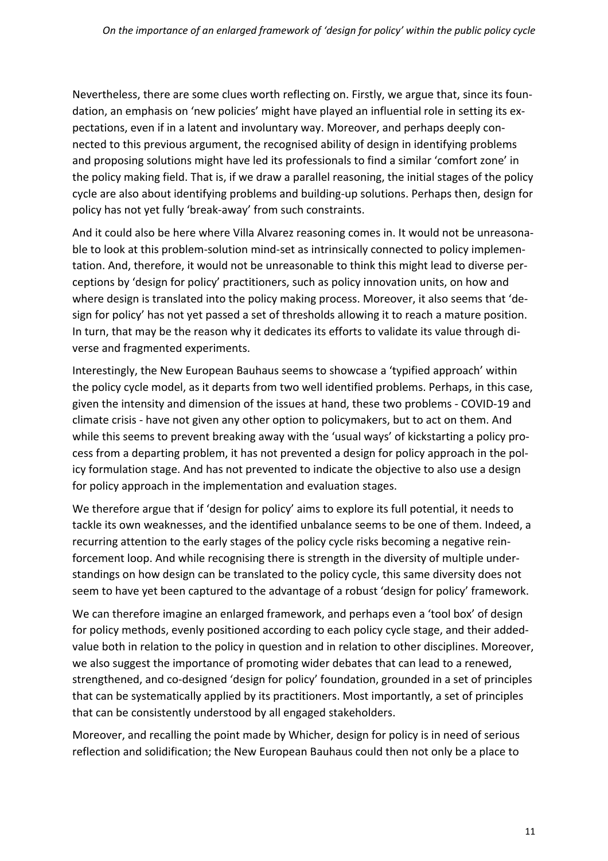Nevertheless, there are some clues worth reflecting on. Firstly, we argue that, since its foundation, an emphasis on 'new policies' might have played an influential role in setting its expectations, even if in a latent and involuntary way. Moreover, and perhaps deeply connected to this previous argument, the recognised ability of design in identifying problems and proposing solutions might have led its professionals to find a similar 'comfort zone' in the policy making field. That is, if we draw a parallel reasoning, the initial stages of the policy cycle are also about identifying problems and building-up solutions. Perhaps then, design for policy has not yet fully 'break-away' from such constraints.

And it could also be here where Villa Alvarez reasoning comes in. It would not be unreasonable to look at this problem-solution mind-set as intrinsically connected to policy implementation. And, therefore, it would not be unreasonable to think this might lead to diverse perceptions by 'design for policy' practitioners, such as policy innovation units, on how and where design is translated into the policy making process. Moreover, it also seems that 'design for policy' has not yet passed a set of thresholds allowing it to reach a mature position. In turn, that may be the reason why it dedicates its efforts to validate its value through diverse and fragmented experiments.

Interestingly, the New European Bauhaus seems to showcase a 'typified approach' within the policy cycle model, as it departs from two well identified problems. Perhaps, in this case, given the intensity and dimension of the issues at hand, these two problems - COVID-19 and climate crisis - have not given any other option to policymakers, but to act on them. And while this seems to prevent breaking away with the 'usual ways' of kickstarting a policy process from a departing problem, it has not prevented a design for policy approach in the policy formulation stage. And has not prevented to indicate the objective to also use a design for policy approach in the implementation and evaluation stages.

We therefore argue that if 'design for policy' aims to explore its full potential, it needs to tackle its own weaknesses, and the identified unbalance seems to be one of them. Indeed, a recurring attention to the early stages of the policy cycle risks becoming a negative reinforcement loop. And while recognising there is strength in the diversity of multiple understandings on how design can be translated to the policy cycle, this same diversity does not seem to have yet been captured to the advantage of a robust 'design for policy' framework.

We can therefore imagine an enlarged framework, and perhaps even a 'tool box' of design for policy methods, evenly positioned according to each policy cycle stage, and their addedvalue both in relation to the policy in question and in relation to other disciplines. Moreover, we also suggest the importance of promoting wider debates that can lead to a renewed, strengthened, and co-designed 'design for policy' foundation, grounded in a set of principles that can be systematically applied by its practitioners. Most importantly, a set of principles that can be consistently understood by all engaged stakeholders.

Moreover, and recalling the point made by Whicher, design for policy is in need of serious reflection and solidification; the New European Bauhaus could then not only be a place to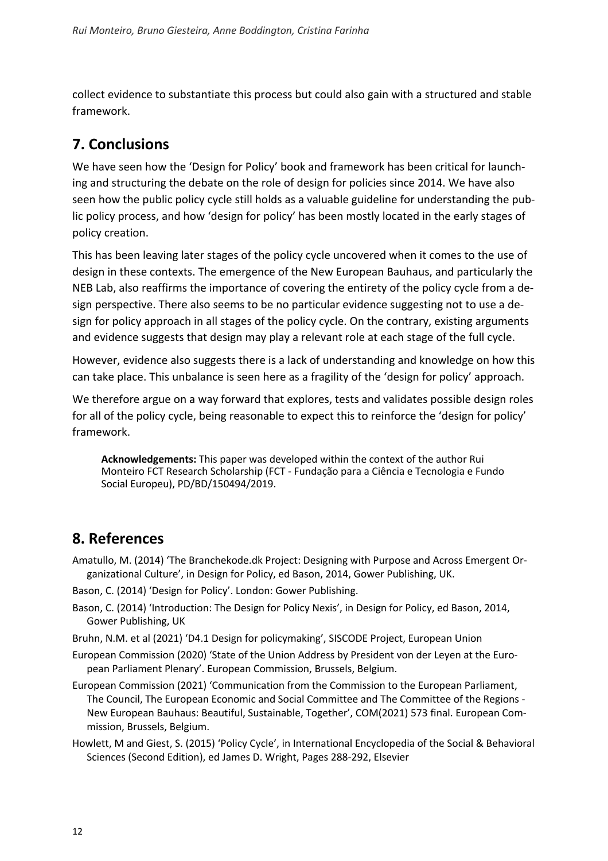collect evidence to substantiate this process but could also gain with a structured and stable framework.

#### **7. Conclusions**

We have seen how the 'Design for Policy' book and framework has been critical for launching and structuring the debate on the role of design for policies since 2014. We have also seen how the public policy cycle still holds as a valuable guideline for understanding the public policy process, and how 'design for policy' has been mostly located in the early stages of policy creation.

This has been leaving later stages of the policy cycle uncovered when it comes to the use of design in these contexts. The emergence of the New European Bauhaus, and particularly the NEB Lab, also reaffirms the importance of covering the entirety of the policy cycle from a design perspective. There also seems to be no particular evidence suggesting not to use a design for policy approach in all stages of the policy cycle. On the contrary, existing arguments and evidence suggests that design may play a relevant role at each stage of the full cycle.

However, evidence also suggests there is a lack of understanding and knowledge on how this can take place. This unbalance is seen here as a fragility of the 'design for policy' approach.

We therefore argue on a way forward that explores, tests and validates possible design roles for all of the policy cycle, being reasonable to expect this to reinforce the 'design for policy' framework.

**Acknowledgements:** This paper was developed within the context of the author Rui Monteiro FCT Research Scholarship (FCT - Fundação para a Ciência e Tecnologia e Fundo Social Europeu), PD/BD/150494/2019.

#### **8. References**

- Amatullo, M. (2014) 'The Branchekode.dk Project: Designing with Purpose and Across Emergent Organizational Culture', in Design for Policy, ed Bason, 2014, Gower Publishing, UK.
- Bason, C. (2014) 'Design for Policy'. London: Gower Publishing.
- Bason, C. (2014) 'Introduction: The Design for Policy Nexis', in Design for Policy, ed Bason, 2014, Gower Publishing, UK
- Bruhn, N.M. et al (2021) 'D4.1 Design for policymaking', SISCODE Project, European Union
- European Commission (2020) 'State of the Union Address by President von der Leyen at the European Parliament Plenary'. European Commission, Brussels, Belgium.
- European Commission (2021) 'Communication from the Commission to the European Parliament, The Council, The European Economic and Social Committee and The Committee of the Regions - New European Bauhaus: Beautiful, Sustainable, Together', COM(2021) 573 final. European Commission, Brussels, Belgium.
- Howlett, M and Giest, S. (2015) 'Policy Cycle', in International Encyclopedia of the Social & Behavioral Sciences (Second Edition), ed James D. Wright, Pages 288-292, Elsevier